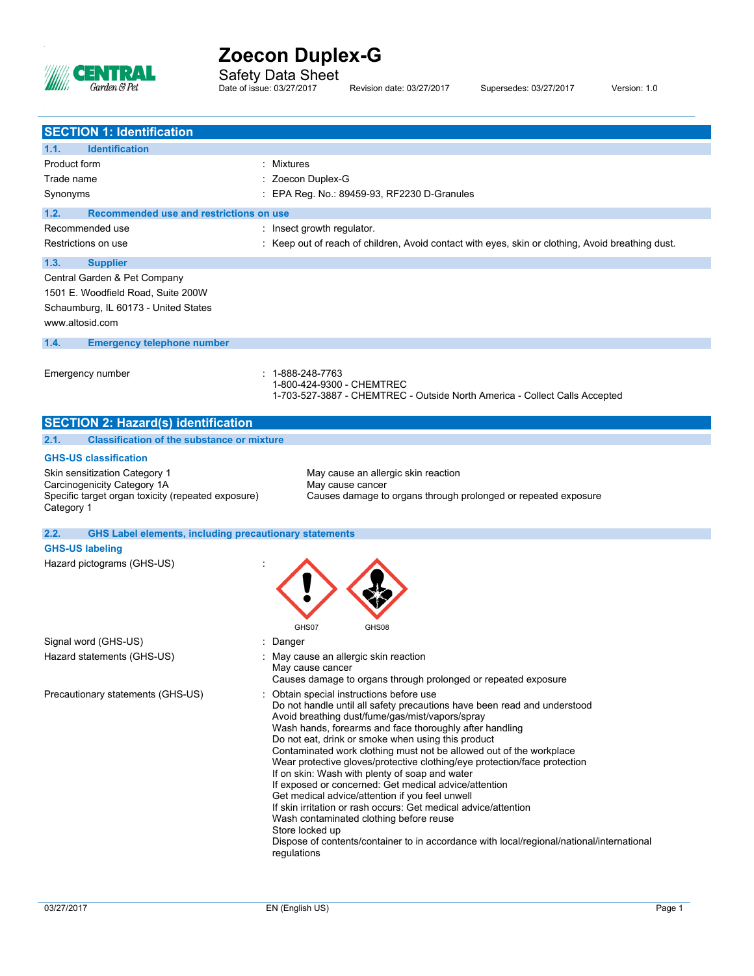

i.

# **Zoecon Duplex-G**

Safety Data Sheet

Date of issue: 03/27/2017 Revision date: 03/27/2017 Supersedes: 03/27/2017 Version: 1.0

| <b>SECTION 1: Identification</b>                                      |                                                                                                                             |
|-----------------------------------------------------------------------|-----------------------------------------------------------------------------------------------------------------------------|
| 1.1.<br><b>Identification</b><br>Product form                         | : Mixtures                                                                                                                  |
| Trade name                                                            | : Zoecon Duplex-G                                                                                                           |
| Synonyms                                                              | : EPA Reg. No.: 89459-93, RF2230 D-Granules                                                                                 |
|                                                                       |                                                                                                                             |
| Recommended use and restrictions on use<br>1.2.<br>Recommended use    | : Insect growth regulator.                                                                                                  |
| Restrictions on use                                                   | : Keep out of reach of children, Avoid contact with eyes, skin or clothing, Avoid breathing dust.                           |
|                                                                       |                                                                                                                             |
| 1.3.<br><b>Supplier</b><br>Central Garden & Pet Company               |                                                                                                                             |
| 1501 E. Woodfield Road, Suite 200W                                    |                                                                                                                             |
| Schaumburg, IL 60173 - United States                                  |                                                                                                                             |
| www.altosid.com                                                       |                                                                                                                             |
| 1.4.<br><b>Emergency telephone number</b>                             |                                                                                                                             |
|                                                                       |                                                                                                                             |
| Emergency number                                                      | 1-888-248-7763<br>1-800-424-9300 - CHEMTREC                                                                                 |
|                                                                       | 1-703-527-3887 - CHEMTREC - Outside North America - Collect Calls Accepted                                                  |
|                                                                       |                                                                                                                             |
| <b>SECTION 2: Hazard(s) identification</b>                            |                                                                                                                             |
| <b>Classification of the substance or mixture</b><br>2.1.             |                                                                                                                             |
| <b>GHS-US classification</b>                                          |                                                                                                                             |
| Skin sensitization Category 1<br>Carcinogenicity Category 1A          | May cause an allergic skin reaction<br>May cause cancer                                                                     |
| Specific target organ toxicity (repeated exposure)<br>Category 1      | Causes damage to organs through prolonged or repeated exposure                                                              |
| <b>GHS Label elements, including precautionary statements</b><br>2.2. |                                                                                                                             |
| <b>GHS-US labeling</b>                                                |                                                                                                                             |
| Hazard pictograms (GHS-US)                                            |                                                                                                                             |
|                                                                       |                                                                                                                             |
|                                                                       |                                                                                                                             |
|                                                                       |                                                                                                                             |
|                                                                       | GHS07<br>GHS08                                                                                                              |
| Signal word (GHS-US)                                                  | : Danger                                                                                                                    |
| Hazard statements (GHS-US)                                            | : May cause an allergic skin reaction<br>May cause cancer                                                                   |
|                                                                       | Causes damage to organs through prolonged or repeated exposure                                                              |
| Precautionary statements (GHS-US)                                     | : Obtain special instructions before use                                                                                    |
|                                                                       | Do not handle until all safety precautions have been read and understood<br>Avoid breathing dust/fume/gas/mist/vapors/spray |
|                                                                       | Wash hands, forearms and face thoroughly after handling                                                                     |
|                                                                       | Do not eat, drink or smoke when using this product<br>Contaminated work clothing must not be allowed out of the workplace   |
|                                                                       | Wear protective gloves/protective clothing/eye protection/face protection                                                   |
|                                                                       | If on skin: Wash with plenty of soap and water                                                                              |
|                                                                       | If exposed or concerned: Get medical advice/attention<br>Get medical advice/attention if you feel unwell                    |
|                                                                       | If skin irritation or rash occurs: Get medical advice/attention                                                             |
|                                                                       | Wash contaminated clothing before reuse<br>Store locked up                                                                  |
|                                                                       | Dispose of contents/container to in accordance with local/regional/national/international                                   |
|                                                                       | regulations                                                                                                                 |
|                                                                       |                                                                                                                             |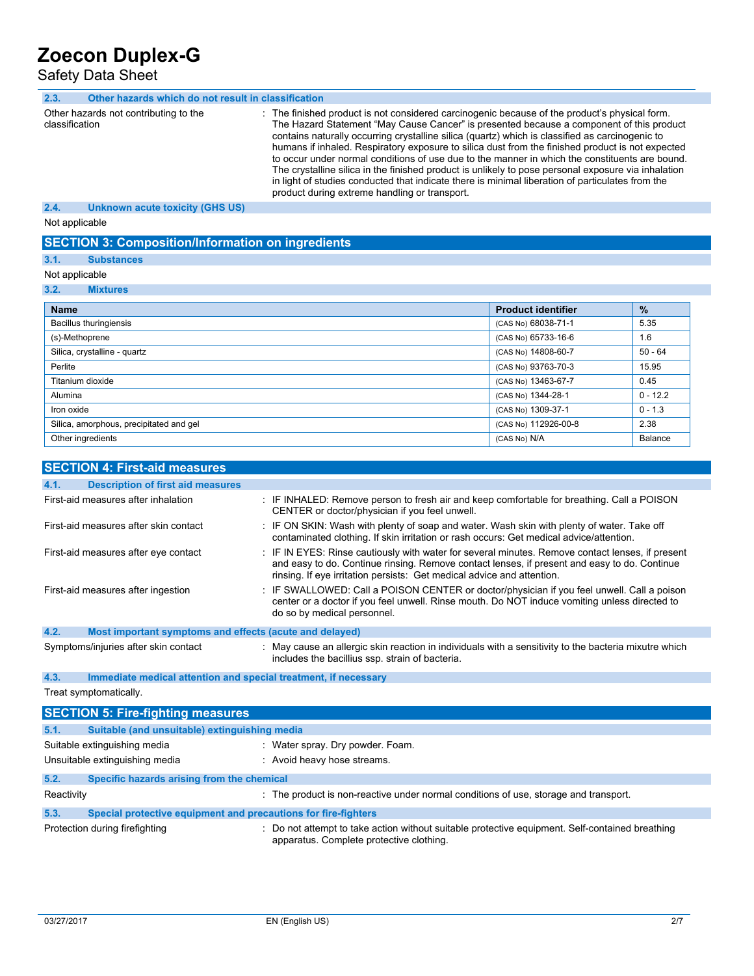Safety Data Sheet

| 2.3.           | Other hazards which do not result in classification |                                                                                                                                                                                                                                                                                                                                                                                                                                                                                                                                                                                                                                                                                                                                                                |
|----------------|-----------------------------------------------------|----------------------------------------------------------------------------------------------------------------------------------------------------------------------------------------------------------------------------------------------------------------------------------------------------------------------------------------------------------------------------------------------------------------------------------------------------------------------------------------------------------------------------------------------------------------------------------------------------------------------------------------------------------------------------------------------------------------------------------------------------------------|
| classification | Other hazards not contributing to the               | : The finished product is not considered carcinogenic because of the product's physical form.<br>The Hazard Statement "May Cause Cancer" is presented because a component of this product<br>contains naturally occurring crystalline silica (quartz) which is classified as carcinogenic to<br>humans if inhaled. Respiratory exposure to silica dust from the finished product is not expected<br>to occur under normal conditions of use due to the manner in which the constituents are bound.<br>The crystalline silica in the finished product is unlikely to pose personal exposure via inhalation<br>in light of studies conducted that indicate there is minimal liberation of particulates from the<br>product during extreme handling or transport. |
| 2.4.           | Unknown acute toxicity (GHS US)                     |                                                                                                                                                                                                                                                                                                                                                                                                                                                                                                                                                                                                                                                                                                                                                                |
| Not applicable |                                                     |                                                                                                                                                                                                                                                                                                                                                                                                                                                                                                                                                                                                                                                                                                                                                                |

## **SECTION 3: Composition/Information on ingredients**

## **3.1. Substances**

Not applicable

**3.2. Mixtures**

| <b>Name</b>                             | <b>Product identifier</b> | $\%$       |
|-----------------------------------------|---------------------------|------------|
| Bacillus thuringiensis                  | (CAS No) 68038-71-1       | 5.35       |
| (s)-Methoprene                          | (CAS No) 65733-16-6       | 1.6        |
| Silica, crystalline - quartz            | (CAS No) 14808-60-7       | $50 - 64$  |
| Perlite                                 | (CAS No) 93763-70-3       | 15.95      |
| Titanium dioxide                        | (CAS No) 13463-67-7       | 0.45       |
| Alumina                                 | (CAS No) 1344-28-1        | $0 - 12.2$ |
| Iron oxide                              | (CAS No) 1309-37-1        | $0 - 1.3$  |
| Silica, amorphous, precipitated and gel | (CAS No) 112926-00-8      | 2.38       |
| Other ingredients                       | (CAS No) N/A              | Balance    |

| <b>SECTION 4: First-aid measures</b>                                    |                                                                                                                                                                                                                                                                            |
|-------------------------------------------------------------------------|----------------------------------------------------------------------------------------------------------------------------------------------------------------------------------------------------------------------------------------------------------------------------|
| <b>Description of first aid measures</b><br>4.1.                        |                                                                                                                                                                                                                                                                            |
| First-aid measures after inhalation                                     | : IF INHALED: Remove person to fresh air and keep comfortable for breathing. Call a POISON<br>CENTER or doctor/physician if you feel unwell.                                                                                                                               |
| First-aid measures after skin contact                                   | : IF ON SKIN: Wash with plenty of soap and water. Wash skin with plenty of water. Take off<br>contaminated clothing. If skin irritation or rash occurs: Get medical advice/attention.                                                                                      |
| First-aid measures after eye contact                                    | : IF IN EYES: Rinse cautiously with water for several minutes. Remove contact lenses, if present<br>and easy to do. Continue rinsing. Remove contact lenses, if present and easy to do. Continue<br>rinsing. If eye irritation persists: Get medical advice and attention. |
| First-aid measures after ingestion                                      | $\pm$ IF SWALLOWED: Call a POISON CENTER or doctor/physician if you feel unwell. Call a poison<br>center or a doctor if you feel unwell. Rinse mouth. Do NOT induce vomiting unless directed to<br>do so by medical personnel.                                             |
| 4.2.<br>Most important symptoms and effects (acute and delayed)         |                                                                                                                                                                                                                                                                            |
| Symptoms/injuries after skin contact                                    | May cause an allergic skin reaction in individuals with a sensitivity to the bacteria mixutre which<br>includes the bacillius ssp. strain of bacteria.                                                                                                                     |
| 4.3.<br>Immediate medical attention and special treatment, if necessary |                                                                                                                                                                                                                                                                            |
| Treat symptomatically.                                                  |                                                                                                                                                                                                                                                                            |
| <b>SECTION 5: Fire-fighting measures</b>                                |                                                                                                                                                                                                                                                                            |

|            | SECTION 5: Fire-righting measures                              |                                                                                                                                             |
|------------|----------------------------------------------------------------|---------------------------------------------------------------------------------------------------------------------------------------------|
| 5.1.       | Suitable (and unsuitable) extinguishing media                  |                                                                                                                                             |
|            | Suitable extinguishing media                                   | : Water spray. Dry powder. Foam.                                                                                                            |
|            | Unsuitable extinguishing media                                 | : Avoid heavy hose streams.                                                                                                                 |
| 5.2.       | Specific hazards arising from the chemical                     |                                                                                                                                             |
| Reactivity |                                                                | : The product is non-reactive under normal conditions of use, storage and transport.                                                        |
| 5.3.       | Special protective equipment and precautions for fire-fighters |                                                                                                                                             |
|            | Protection during firefighting                                 | : Do not attempt to take action without suitable protective equipment. Self-contained breathing<br>apparatus. Complete protective clothing. |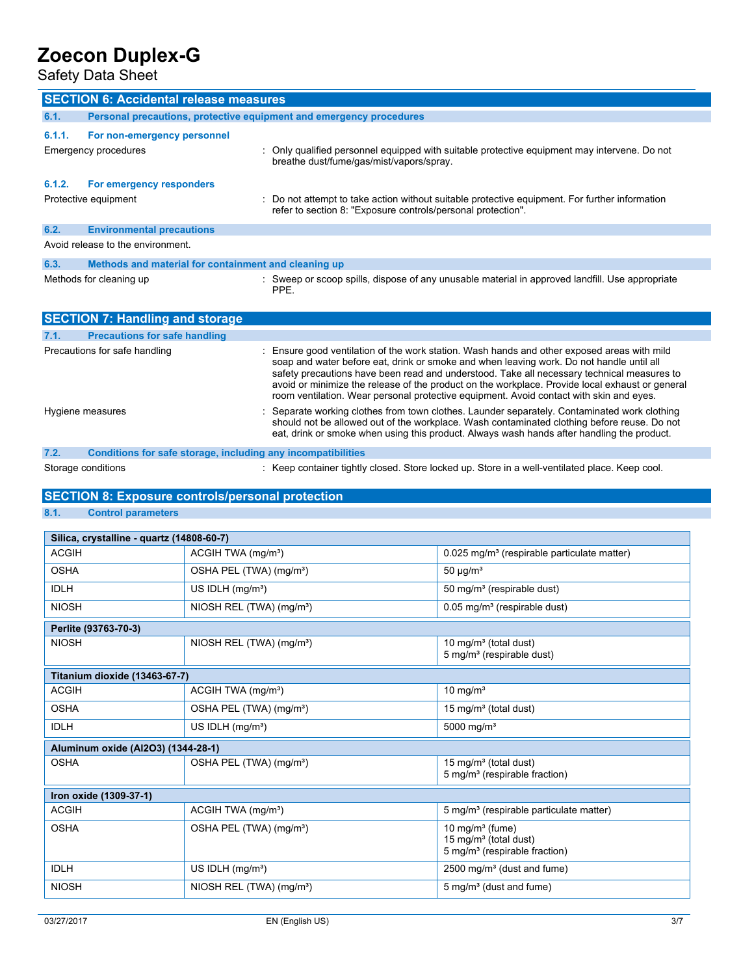Safety Data Sheet

|                      | <b>SECTION 6: Accidental release measures</b>                       |                                                                                                                                                                                                                                                                                                                                                                                                                                                                                     |  |  |
|----------------------|---------------------------------------------------------------------|-------------------------------------------------------------------------------------------------------------------------------------------------------------------------------------------------------------------------------------------------------------------------------------------------------------------------------------------------------------------------------------------------------------------------------------------------------------------------------------|--|--|
| 6.1.                 | Personal precautions, protective equipment and emergency procedures |                                                                                                                                                                                                                                                                                                                                                                                                                                                                                     |  |  |
| 6.1.1.               | For non-emergency personnel                                         |                                                                                                                                                                                                                                                                                                                                                                                                                                                                                     |  |  |
| Emergency procedures |                                                                     | Only qualified personnel equipped with suitable protective equipment may intervene. Do not<br>breathe dust/fume/gas/mist/vapors/spray.                                                                                                                                                                                                                                                                                                                                              |  |  |
| 6.1.2.               | For emergency responders                                            |                                                                                                                                                                                                                                                                                                                                                                                                                                                                                     |  |  |
|                      | Protective equipment                                                | : Do not attempt to take action without suitable protective equipment. For further information<br>refer to section 8: "Exposure controls/personal protection".                                                                                                                                                                                                                                                                                                                      |  |  |
| 6.2.                 | <b>Environmental precautions</b>                                    |                                                                                                                                                                                                                                                                                                                                                                                                                                                                                     |  |  |
|                      | Avoid release to the environment.                                   |                                                                                                                                                                                                                                                                                                                                                                                                                                                                                     |  |  |
| 6.3.                 | Methods and material for containment and cleaning up                |                                                                                                                                                                                                                                                                                                                                                                                                                                                                                     |  |  |
|                      | Methods for cleaning up                                             | : Sweep or scoop spills, dispose of any unusable material in approved landfill. Use appropriate<br>PPE.                                                                                                                                                                                                                                                                                                                                                                             |  |  |
|                      | <b>SECTION 7: Handling and storage</b>                              |                                                                                                                                                                                                                                                                                                                                                                                                                                                                                     |  |  |
| 7.1.                 | <b>Precautions for safe handling</b>                                |                                                                                                                                                                                                                                                                                                                                                                                                                                                                                     |  |  |
|                      | Precautions for safe handling                                       | : Ensure good ventilation of the work station. Wash hands and other exposed areas with mild<br>soap and water before eat, drink or smoke and when leaving work. Do not handle until all<br>safety precautions have been read and understood. Take all necessary technical measures to<br>avoid or minimize the release of the product on the workplace. Provide local exhaust or general<br>room ventilation. Wear personal protective equipment. Avoid contact with skin and eyes. |  |  |
|                      | Hygiene measures                                                    | Separate working clothes from town clothes. Launder separately. Contaminated work clothing<br>should not be allowed out of the workplace. Wash contaminated clothing before reuse. Do not<br>eat, drink or smoke when using this product. Always wash hands after handling the product.                                                                                                                                                                                             |  |  |
|                      |                                                                     | and a first of a company of the title to an                                                                                                                                                                                                                                                                                                                                                                                                                                         |  |  |

# **7.2. Conditions for safe storage, including any incompatibilities**

Storage conditions **Storage conditions** : Keep container tightly closed. Store locked up. Store in a well-ventilated place. Keep cool.

# **SECTION 8: Exposure controls/personal protection**

## **8.1. Control parameters**

| Silica, crystalline - quartz (14808-60-7) |                                      |                                                                                                      |  |  |  |
|-------------------------------------------|--------------------------------------|------------------------------------------------------------------------------------------------------|--|--|--|
| <b>ACGIH</b>                              | ACGIH TWA (mg/m <sup>3</sup> )       | 0.025 mg/m <sup>3</sup> (respirable particulate matter)                                              |  |  |  |
| <b>OSHA</b>                               | OSHA PEL (TWA) (mg/m <sup>3</sup> )  | 50 $\mu$ g/m <sup>3</sup>                                                                            |  |  |  |
| <b>IDLH</b>                               | US IDLH $(mq/m3)$                    | 50 mg/m <sup>3</sup> (respirable dust)                                                               |  |  |  |
| <b>NIOSH</b>                              | NIOSH REL (TWA) (mg/m <sup>3</sup> ) | $0.05$ mg/m <sup>3</sup> (respirable dust)                                                           |  |  |  |
| Perlite (93763-70-3)                      |                                      |                                                                                                      |  |  |  |
| <b>NIOSH</b>                              | NIOSH REL (TWA) (mg/m <sup>3</sup> ) | 10 mg/m <sup>3</sup> (total dust)<br>5 mg/m <sup>3</sup> (respirable dust)                           |  |  |  |
| Titanium dioxide (13463-67-7)             |                                      |                                                                                                      |  |  |  |
| <b>ACGIH</b>                              | ACGIH TWA (mg/m <sup>3</sup> )       | 10 mg/m <sup>3</sup>                                                                                 |  |  |  |
| <b>OSHA</b>                               | OSHA PEL (TWA) (mg/m <sup>3</sup> )  | 15 mg/m <sup>3</sup> (total dust)                                                                    |  |  |  |
| <b>IDLH</b>                               | US IDLH $(mq/m3)$                    | 5000 mg/m <sup>3</sup>                                                                               |  |  |  |
| Aluminum oxide (Al2O3) (1344-28-1)        |                                      |                                                                                                      |  |  |  |
| <b>OSHA</b>                               | OSHA PEL (TWA) (mg/m <sup>3</sup> )  | 15 mg/m <sup>3</sup> (total dust)<br>5 mg/m <sup>3</sup> (respirable fraction)                       |  |  |  |
| Iron oxide (1309-37-1)                    |                                      |                                                                                                      |  |  |  |
| <b>ACGIH</b>                              | ACGIH TWA (mg/m <sup>3</sup> )       | 5 mg/m <sup>3</sup> (respirable particulate matter)                                                  |  |  |  |
| <b>OSHA</b>                               | OSHA PEL (TWA) (mg/m <sup>3</sup> )  | 10 mg/m $3$ (fume)<br>15 mg/m <sup>3</sup> (total dust)<br>5 mg/m <sup>3</sup> (respirable fraction) |  |  |  |
| <b>IDLH</b>                               | US IDLH (mg/m <sup>3</sup> )         | 2500 mg/m <sup>3</sup> (dust and fume)                                                               |  |  |  |
| <b>NIOSH</b>                              | NIOSH REL (TWA) (mg/m <sup>3</sup> ) | 5 mg/m <sup>3</sup> (dust and fume)                                                                  |  |  |  |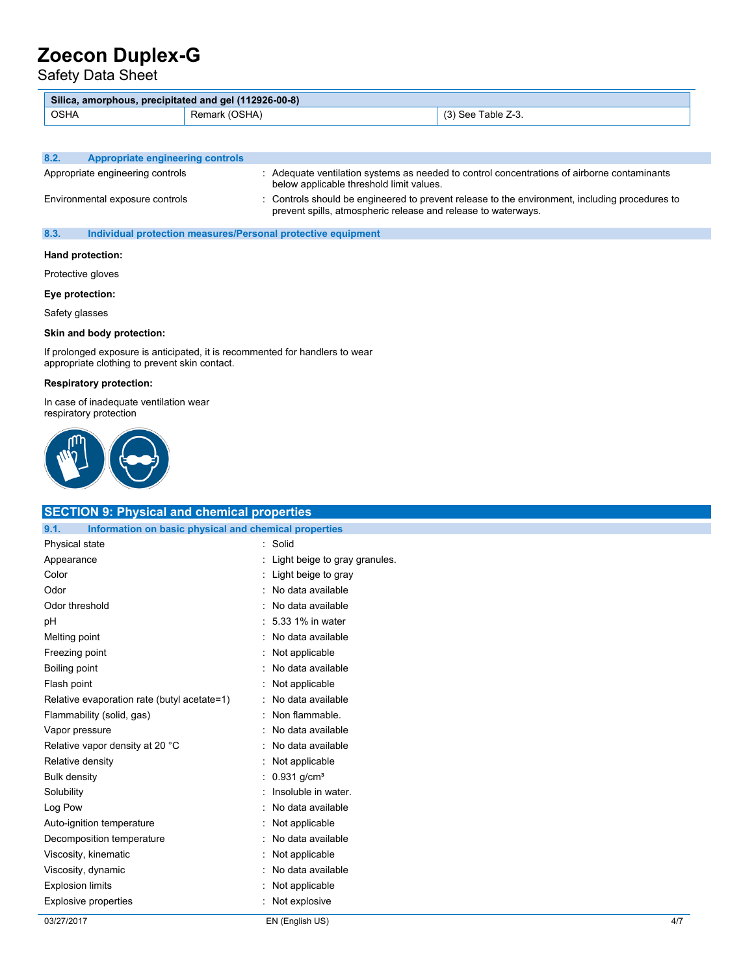Safety Data Sheet

| Silica, amorphous, precipitated and gel (112926-00-8) |      |                          |
|-------------------------------------------------------|------|--------------------------|
| <b>OSHA</b>                                           | ንSHA | ⊺able Z-3.<br>-        ~ |

| 8.2. | Appropriate engineering controls |                                                                                                                                                                 |
|------|----------------------------------|-----------------------------------------------------------------------------------------------------------------------------------------------------------------|
|      | Appropriate engineering controls | Adequate ventilation systems as needed to control concentrations of airborne contaminants<br>below applicable threshold limit values.                           |
|      | Environmental exposure controls  | : Controls should be engineered to prevent release to the environment, including procedures to<br>prevent spills, atmospheric release and release to waterways. |

### **8.3. Individual protection measures/Personal protective equipment**

#### **Hand protection:**

Protective gloves

#### **Eye protection:**

Safety glasses

#### **Skin and body protection:**

If prolonged exposure is anticipated, it is recommented for handlers to wear appropriate clothing to prevent skin contact.

#### **Respiratory protection:**

In case of inadequate ventilation wear respiratory protection



| <b>SECTION 9: Physical and chemical properties</b>            |                                 |     |
|---------------------------------------------------------------|---------------------------------|-----|
| Information on basic physical and chemical properties<br>9.1. |                                 |     |
| Physical state                                                | : Solid                         |     |
| Appearance                                                    | : Light beige to gray granules. |     |
| Color                                                         | Light beige to gray             |     |
| Odor                                                          | : No data available             |     |
| Odor threshold                                                | : No data available             |     |
| pH                                                            | : 5.33 1% in water              |     |
| Melting point                                                 | : No data available             |     |
| Freezing point                                                | Not applicable                  |     |
| Boiling point                                                 | : No data available             |     |
| Flash point                                                   | Not applicable                  |     |
| Relative evaporation rate (butyl acetate=1)                   | : No data available             |     |
| Flammability (solid, gas)                                     | Non flammable.                  |     |
| Vapor pressure                                                | : No data available             |     |
| Relative vapor density at 20 °C                               | : No data available             |     |
| Relative density                                              | : Not applicable                |     |
| <b>Bulk density</b>                                           | : $0.931$ g/cm <sup>3</sup>     |     |
| Solubility                                                    | Insoluble in water.             |     |
| Log Pow                                                       | : No data available             |     |
| Auto-ignition temperature                                     | : Not applicable                |     |
| Decomposition temperature                                     | : No data available             |     |
| Viscosity, kinematic                                          | Not applicable                  |     |
| Viscosity, dynamic                                            | : No data available             |     |
| <b>Explosion limits</b>                                       | Not applicable                  |     |
| <b>Explosive properties</b>                                   | : Not explosive                 |     |
| 03/27/2017                                                    | EN (English US)                 | 4/7 |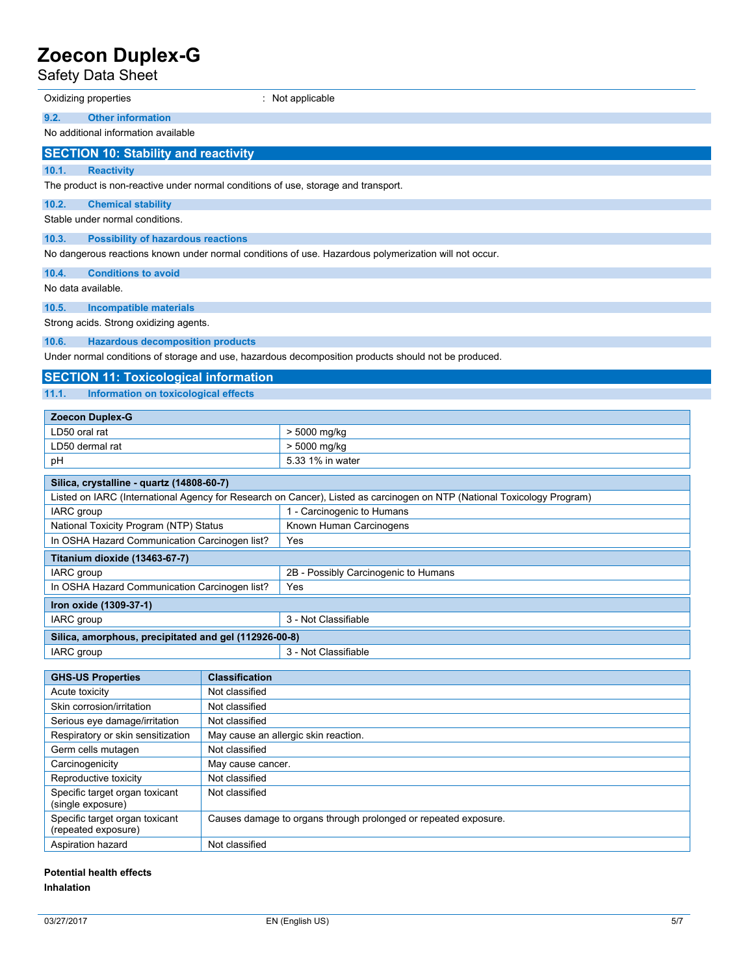Safety Data Sheet

| Oxidizing properties                                                                                                    |                                                                 | : Not applicable                                                                                      |  |  |
|-------------------------------------------------------------------------------------------------------------------------|-----------------------------------------------------------------|-------------------------------------------------------------------------------------------------------|--|--|
|                                                                                                                         |                                                                 |                                                                                                       |  |  |
| <b>Other information</b><br>9.2.                                                                                        |                                                                 |                                                                                                       |  |  |
| No additional information available                                                                                     |                                                                 |                                                                                                       |  |  |
| <b>SECTION 10: Stability and reactivity</b>                                                                             |                                                                 |                                                                                                       |  |  |
| 10.1.<br><b>Reactivity</b>                                                                                              |                                                                 |                                                                                                       |  |  |
| The product is non-reactive under normal conditions of use, storage and transport.                                      |                                                                 |                                                                                                       |  |  |
| 10.2.<br><b>Chemical stability</b>                                                                                      |                                                                 |                                                                                                       |  |  |
| Stable under normal conditions.                                                                                         |                                                                 |                                                                                                       |  |  |
| 10.3.<br><b>Possibility of hazardous reactions</b>                                                                      |                                                                 |                                                                                                       |  |  |
|                                                                                                                         |                                                                 | No dangerous reactions known under normal conditions of use. Hazardous polymerization will not occur. |  |  |
| 10.4.<br><b>Conditions to avoid</b>                                                                                     |                                                                 |                                                                                                       |  |  |
| No data available.                                                                                                      |                                                                 |                                                                                                       |  |  |
| 10.5.<br><b>Incompatible materials</b>                                                                                  |                                                                 |                                                                                                       |  |  |
| Strong acids. Strong oxidizing agents.                                                                                  |                                                                 |                                                                                                       |  |  |
|                                                                                                                         |                                                                 |                                                                                                       |  |  |
| 10.6.<br><b>Hazardous decomposition products</b>                                                                        |                                                                 |                                                                                                       |  |  |
|                                                                                                                         |                                                                 | Under normal conditions of storage and use, hazardous decomposition products should not be produced.  |  |  |
| <b>SECTION 11: Toxicological information</b>                                                                            |                                                                 |                                                                                                       |  |  |
| 11.1.<br>Information on toxicological effects                                                                           |                                                                 |                                                                                                       |  |  |
| <b>Zoecon Duplex-G</b>                                                                                                  |                                                                 |                                                                                                       |  |  |
| LD50 oral rat                                                                                                           |                                                                 | > 5000 mg/kg                                                                                          |  |  |
| LD50 dermal rat                                                                                                         |                                                                 | > 5000 mg/kg                                                                                          |  |  |
| рH                                                                                                                      |                                                                 | 5.33 1% in water                                                                                      |  |  |
|                                                                                                                         |                                                                 |                                                                                                       |  |  |
| Silica, crystalline - quartz (14808-60-7)                                                                               |                                                                 |                                                                                                       |  |  |
| Listed on IARC (International Agency for Research on Cancer), Listed as carcinogen on NTP (National Toxicology Program) |                                                                 | 1 - Carcinogenic to Humans                                                                            |  |  |
| IARC group<br>National Toxicity Program (NTP) Status                                                                    |                                                                 | Known Human Carcinogens                                                                               |  |  |
| In OSHA Hazard Communication Carcinogen list?                                                                           |                                                                 | Yes                                                                                                   |  |  |
| Titanium dioxide (13463-67-7)                                                                                           |                                                                 |                                                                                                       |  |  |
| IARC group                                                                                                              |                                                                 | 2B - Possibly Carcinogenic to Humans                                                                  |  |  |
| In OSHA Hazard Communication Carcinogen list?                                                                           |                                                                 | Yes                                                                                                   |  |  |
| Iron oxide (1309-37-1)                                                                                                  |                                                                 |                                                                                                       |  |  |
| IARC group                                                                                                              |                                                                 | 3 - Not Classifiable                                                                                  |  |  |
| Silica, amorphous, precipitated and gel (112926-00-8)                                                                   |                                                                 |                                                                                                       |  |  |
| IARC group                                                                                                              |                                                                 | 3 - Not Classifiable                                                                                  |  |  |
|                                                                                                                         |                                                                 |                                                                                                       |  |  |
| <b>GHS-US Properties</b>                                                                                                | <b>Classification</b>                                           |                                                                                                       |  |  |
| Acute toxicity                                                                                                          | Not classified                                                  |                                                                                                       |  |  |
| Skin corrosion/irritation                                                                                               | Not classified                                                  |                                                                                                       |  |  |
| Serious eye damage/irritation                                                                                           | Not classified                                                  |                                                                                                       |  |  |
| Respiratory or skin sensitization                                                                                       |                                                                 | May cause an allergic skin reaction.                                                                  |  |  |
| Germ cells mutagen                                                                                                      |                                                                 | Not classified                                                                                        |  |  |
| Carcinogenicity                                                                                                         | May cause cancer.                                               |                                                                                                       |  |  |
|                                                                                                                         | Reproductive toxicity<br>Not classified                         |                                                                                                       |  |  |
| (single exposure)                                                                                                       | Specific target organ toxicant<br>Not classified                |                                                                                                       |  |  |
| Specific target organ toxicant<br>(repeated exposure)                                                                   | Causes damage to organs through prolonged or repeated exposure. |                                                                                                       |  |  |
| Aspiration hazard                                                                                                       | Not classified                                                  |                                                                                                       |  |  |
| Dotantial hoalth offacto                                                                                                |                                                                 |                                                                                                       |  |  |

#### **Potential health effects Inhalation**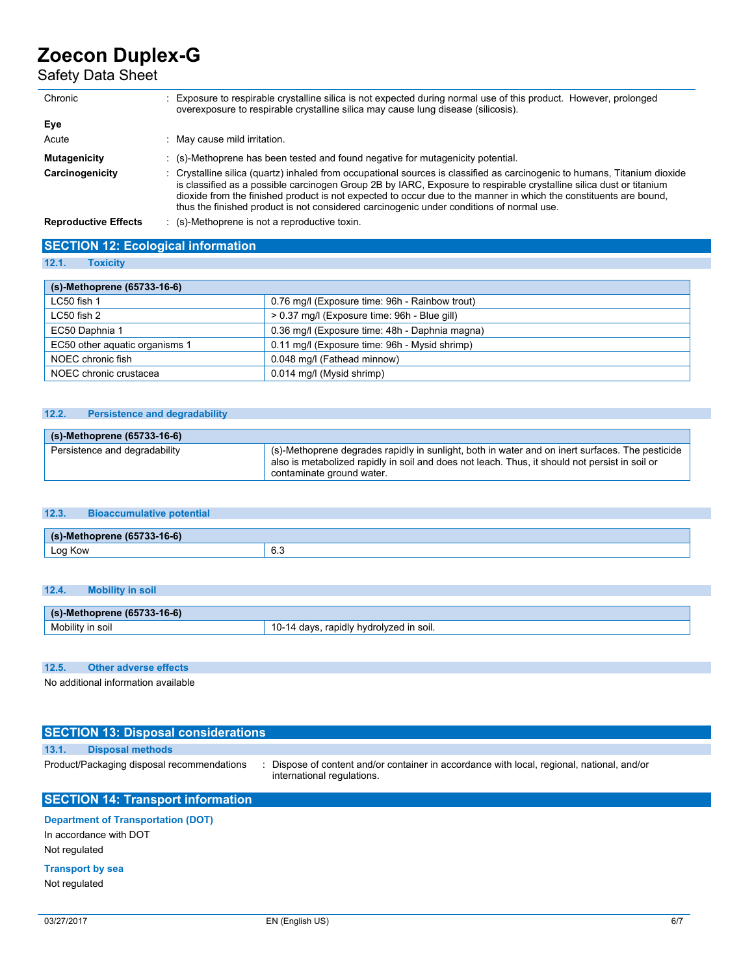# Safety Data Sheet

| Chronic                     | Exposure to respirable crystalline silica is not expected during normal use of this product. However, prolonged<br>overexposure to respirable crystalline silica may cause lung disease (silicosis).                                                                                                                                                                                                                                                              |
|-----------------------------|-------------------------------------------------------------------------------------------------------------------------------------------------------------------------------------------------------------------------------------------------------------------------------------------------------------------------------------------------------------------------------------------------------------------------------------------------------------------|
| Eye                         |                                                                                                                                                                                                                                                                                                                                                                                                                                                                   |
| Acute                       | May cause mild irritation.                                                                                                                                                                                                                                                                                                                                                                                                                                        |
| <b>Mutagenicity</b>         | $\therefore$ (s)-Methoprene has been tested and found negative for mutagenicity potential.                                                                                                                                                                                                                                                                                                                                                                        |
| Carcinogenicity             | : Crystalline silica (quartz) inhaled from occupational sources is classified as carcinogenic to humans. Titanium dioxide<br>is classified as a possible carcinogen Group 2B by IARC, Exposure to respirable crystalline silica dust or titanium<br>dioxide from the finished product is not expected to occur due to the manner in which the constituents are bound,<br>thus the finished product is not considered carcinogenic under conditions of normal use. |
| <b>Reproductive Effects</b> | (s)-Methoprene is not a reproductive toxin.                                                                                                                                                                                                                                                                                                                                                                                                                       |

| <b>SECTION 12: Ecological information</b> |  |
|-------------------------------------------|--|
| 12.1. Toxicity                            |  |

| (s)-Methoprene (65733-16-6)    |                                                |  |  |  |
|--------------------------------|------------------------------------------------|--|--|--|
| $LC50$ fish 1                  | 0.76 mg/l (Exposure time: 96h - Rainbow trout) |  |  |  |
| LC50 fish 2                    | > 0.37 mg/l (Exposure time: 96h - Blue gill)   |  |  |  |
| EC50 Daphnia 1                 | 0.36 mg/l (Exposure time: 48h - Daphnia magna) |  |  |  |
| EC50 other aguatic organisms 1 | 0.11 mg/l (Exposure time: 96h - Mysid shrimp)  |  |  |  |
| NOEC chronic fish              | 0.048 mg/l (Fathead minnow)                    |  |  |  |
| NOEC chronic crustacea         | 0.014 mg/l (Mysid shrimp)                      |  |  |  |

### **12.2. Persistence and degradability**

| (s)-Methoprene (65733-16-6)   |                                                                                                                                                                                                                                |  |
|-------------------------------|--------------------------------------------------------------------------------------------------------------------------------------------------------------------------------------------------------------------------------|--|
| Persistence and degradability | (s)-Methoprene degrades rapidly in sunlight, both in water and on inert surfaces. The pesticide<br>also is metabolized rapidly in soil and does not leach. Thus, it should not persist in soil or<br>contaminate ground water. |  |

### **12.3. Bioaccumulative potential**

| $AC$ $C$<br>$I = T$<br>(s)<br>- 10-01<br>,,,,, |               |  |
|------------------------------------------------|---------------|--|
| $\cdot$<br>og Kow<br>∟v,<br>$\sim$             | $\sim$<br>ხ.ა |  |

### **12.4. Mobility in soil**

| $(65733 - 16 - 6)$<br>$\epsilon$<br><b>Methoprene</b><br>$\left( 5\right)$ |                                               |  |
|----------------------------------------------------------------------------|-----------------------------------------------|--|
| Mobility<br>n soil                                                         | , hydrolvzed '<br>ı soil.<br>rapidly.<br>davs |  |

### **12.5. Other adverse effects**

No additional information available

## **SECTION 13: Disposal considerations 13.1. Disposal methods** Product/Packaging disposal recommendations : Dispose of content and/or container in accordance with local, regional, national, and/or international regulations. **SECTION 14: Transport information**

## **Department of Transportation (DOT)**

In accordance with DOT Not regulated

### **Transport by sea**

Not regulated